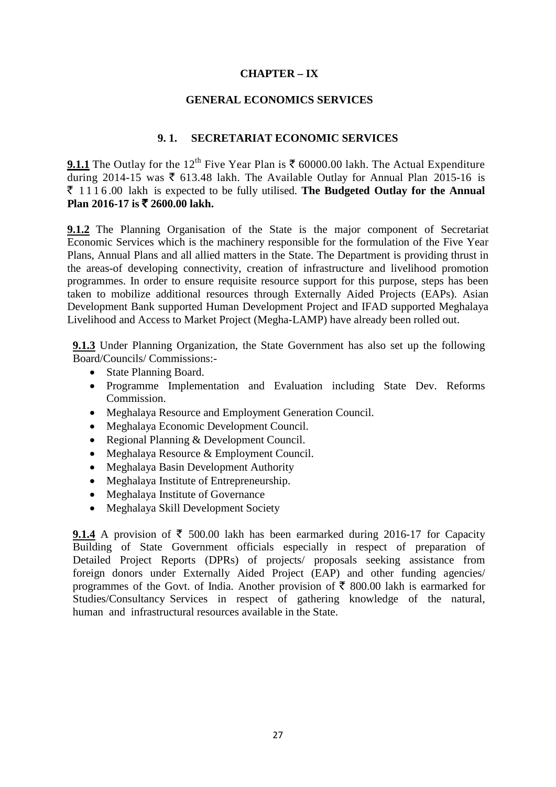## **CHAPTER – IX**

#### **GENERAL ECONOMICS SERVICES**

### **9. 1. SECRETARIAT ECONOMIC SERVICES**

**9.1.1** The Outlay for the 12<sup>th</sup> Five Year Plan is  $\bar{\tau}$  60000.00 lakh. The Actual Expenditure during 2014-15 was  $\bar{\tau}$  613.48 lakh. The Available Outlay for Annual Plan 2015-16 is ` 1116 .00 lakh is expected to be fully utilised. **The Budgeted Outlay for the Annual Plan** 2016-17 **is** ₹ 2600.00 lakh.

**9.1.2** The Planning Organisation of the State is the major component of Secretariat Economic Services which is the machinery responsible for the formulation of the Five Year Plans, Annual Plans and all allied matters in the State. The Department is providing thrust in the areas-of developing connectivity, creation of infrastructure and livelihood promotion programmes. In order to ensure requisite resource support for this purpose, steps has been taken to mobilize additional resources through Externally Aided Projects (EAPs). Asian Development Bank supported Human Development Project and IFAD supported Meghalaya Livelihood and Access to Market Project (Megha-LAMP) have already been rolled out.

**9.1.3** Under Planning Organization, the State Government has also set up the following Board/Councils/ Commissions:-

- State Planning Board.
- Programme Implementation and Evaluation including State Dev. Reforms Commission.
- Meghalaya Resource and Employment Generation Council.
- Meghalaya Economic Development Council.
- Regional Planning & Development Council.
- Meghalaya Resource & Employment Council.
- Meghalaya Basin Development Authority
- Meghalaya Institute of Entrepreneurship.
- Meghalaya Institute of Governance
- Meghalaya Skill Development Society

**9.1.4** A provision of  $\bar{\tau}$  500.00 lakh has been earmarked during 2016-17 for Capacity Building of State Government officials especially in respect of preparation of Detailed Project Reports (DPRs) of projects/ proposals seeking assistance from foreign donors under Externally Aided Project (EAP) and other funding agencies/ programmes of the Govt. of India. Another provision of  $\bar{\tau}$  800.00 lakh is earmarked for Studies/Consultancy Services in respect of gathering knowledge of the natural, human and infrastructural resources available in the State.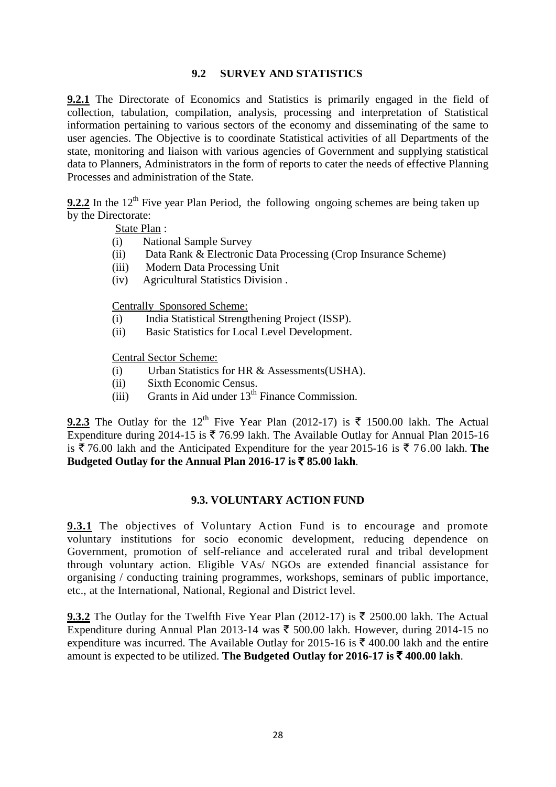# **9.2 SURVEY AND STATISTICS**

**9.2.1** The Directorate of Economics and Statistics is primarily engaged in the field of collection, tabulation, compilation, analysis, processing and interpretation of Statistical information pertaining to various sectors of the economy and disseminating of the same to user agencies. The Objective is to coordinate Statistical activities of all Departments of the state, monitoring and liaison with various agencies of Government and supplying statistical data to Planners, Administrators in the form of reports to cater the needs of effective Planning Processes and administration of the State.

**9.2.2** In the 12<sup>th</sup> Five year Plan Period, the following ongoing schemes are being taken up by the Directorate:

State Plan:

- (i) National Sample Survey
- (ii) Data Rank & Electronic Data Processing (Crop Insurance Scheme)
- (iii) Modern Data Processing Unit
- (iv) Agricultural Statistics Division .

Centrally Sponsored Scheme:

- (i) India Statistical Strengthening Project (ISSP).
- (ii) Basic Statistics for Local Level Development.

Central Sector Scheme:

- (i) Urban Statistics for HR & Assessments(USHA).
- (ii) Sixth Economic Census.
- $(iii)$  Grants in Aid under  $13<sup>th</sup>$  Finance Commission.

**9.2.3** The Outlay for the 12<sup>th</sup> Five Year Plan (2012-17) is  $\bar{\tau}$  1500.00 lakh. The Actual Expenditure during 2014-15 is  $\bar{\xi}$  76.99 lakh. The Available Outlay for Annual Plan 2015-16 is  $\bar{\xi}$  76.00 lakh and the Anticipated Expenditure for the year 2015-16 is  $\bar{\xi}$  76.00 lakh. **The Budgeted** Outlay for the Annual Plan 2016-17 is  $\bar{\tau}$  85.00 lakh.

### **9.3. VOLUNTARY ACTION FUND**

**9.3.1** The objectives of Voluntary Action Fund is to encourage and promote voluntary institutions for socio economic development, reducing dependence on Government, promotion of self-reliance and accelerated rural and tribal development through voluntary action. Eligible VAs/ NGOs are extended financial assistance for organising / conducting training programmes, workshops, seminars of public importance, etc., at the International, National, Regional and District level.

**9.3.2** The Outlay for the Twelfth Five Year Plan (2012-17) is  $\bar{\tau}$  2500.00 lakh. The Actual Expenditure during Annual Plan 2013-14 was  $\bar{\tau}$  500.00 lakh. However, during 2014-15 no expenditure was incurred. The Available Outlay for 2015-16 is  $\bar{\xi}$  400.00 lakh and the entire amount is expected to be utilized. **The Budgeted Outlay for 2016-17 is** ` **400.00 lakh**.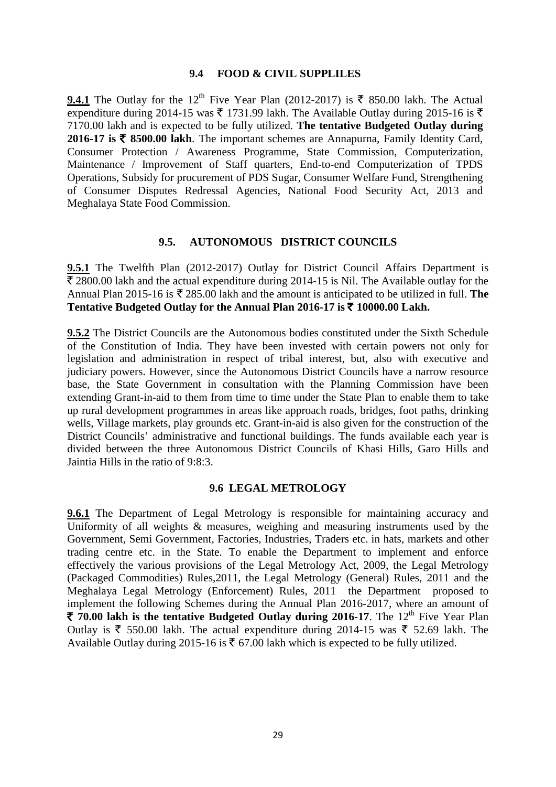#### **9.4 FOOD & CIVIL SUPPLILES**

**9.4.1** The Outlay for the 12<sup>th</sup> Five Year Plan (2012-2017) is  $\bar{\tau}$  850.00 lakh. The Actual expenditure during 2014-15 was  $\bar{\xi}$  1731.99 lakh. The Available Outlay during 2015-16 is  $\bar{\xi}$ 7170.00 lakh and is expected to be fully utilized. **The tentative Budgeted Outlay during 2016-17 is** ` **8500.00 lakh**. The important schemes are Annapurna, Family Identity Card, Consumer Protection / Awareness Programme, State Commission, Computerization, Maintenance / Improvement of Staff quarters, End-to-end Computerization of TPDS Operations, Subsidy for procurement of PDS Sugar, Consumer Welfare Fund, Strengthening of Consumer Disputes Redressal Agencies, National Food Security Act, 2013 and Meghalaya State Food Commission.

#### **9.5. AUTONOMOUS DISTRICT COUNCILS**

**9.5.1** The Twelfth Plan (2012-2017) Outlay for District Council Affairs Department is  $\bar{\mathcal{F}}$  2800.00 lakh and the actual expenditure during 2014-15 is Nil. The Available outlay for the Annual Plan 2015-16 is  $\bar{\tau}$  285.00 lakh and the amount is anticipated to be utilized in full. The Tentative Budgeted Outlay for the Annual Plan  $2016-17$  is  $\overline{\xi}$  10000.00 Lakh.

**9.5.2** The District Councils are the Autonomous bodies constituted under the Sixth Schedule of the Constitution of India. They have been invested with certain powers not only for legislation and administration in respect of tribal interest, but, also with executive and judiciary powers. However, since the Autonomous District Councils have a narrow resource base, the State Government in consultation with the Planning Commission have been extending Grant-in-aid to them from time to time under the State Plan to enable them to take up rural development programmes in areas like approach roads, bridges, foot paths, drinking wells, Village markets, play grounds etc. Grant-in-aid is also given for the construction of the District Councils' administrative and functional buildings. The funds available each year is divided between the three Autonomous District Councils of Khasi Hills, Garo Hills and Jaintia Hills in the ratio of 9:8:3.

#### **9.6 LEGAL METROLOGY**

**9.6.1** The Department of Legal Metrology is responsible for maintaining accuracy and Uniformity of all weights & measures, weighing and measuring instruments used by the Government, Semi Government, Factories, Industries, Traders etc. in hats, markets and other trading centre etc. in the State. To enable the Department to implement and enforce effectively the various provisions of the Legal Metrology Act, 2009, the Legal Metrology (Packaged Commodities) Rules,2011, the Legal Metrology (General) Rules, 2011 and the Meghalaya Legal Metrology (Enforcement) Rules, 2011 the Department proposed to implement the following Schemes during the Annual Plan 2016-2017, where an amount of ` **70.00 lakh is the tentative Budgeted Outlay during 2016-17**. The 12th Five Year Plan Outlay is  $\bar{\xi}$  550.00 lakh. The actual expenditure during 2014-15 was  $\bar{\xi}$  52.69 lakh. The Available Outlay during 2015-16 is  $\bar{\tau}$  67.00 lakh which is expected to be fully utilized.